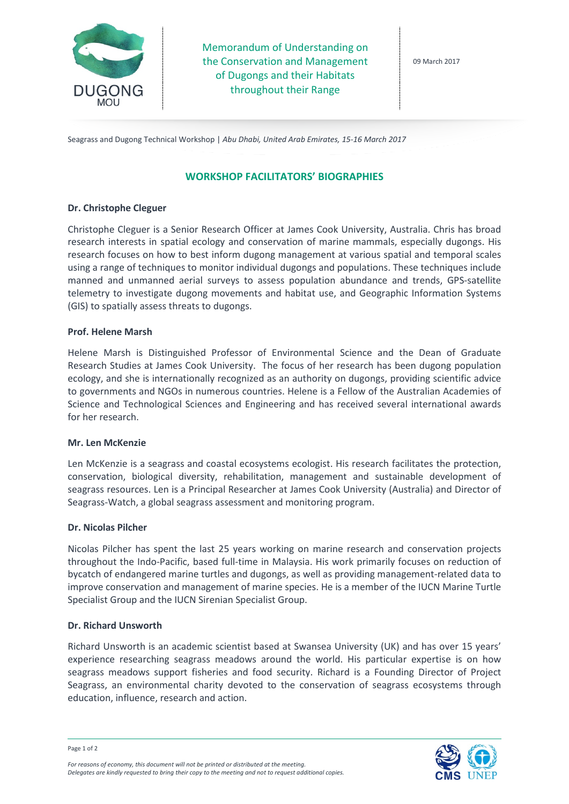

Memorandum of Understanding on the Conservation and Management of Dugongs and their Habitats throughout their Range

09 March 2017

Seagrass and Dugong Technical Workshop | *Abu Dhabi, United Arab Emirates, 15-16 March 2017*

# **WORKSHOP FACILITATORS' BIOGRAPHIES**

### **Dr. Christophe Cleguer**

Christophe Cleguer is a Senior Research Officer at James Cook University, Australia. Chris has broad research interests in spatial ecology and conservation of marine mammals, especially dugongs. His research focuses on how to best inform dugong management at various spatial and temporal scales using a range of techniques to monitor individual dugongs and populations. These techniques include manned and unmanned aerial surveys to assess population abundance and trends, GPS-satellite telemetry to investigate dugong movements and habitat use, and Geographic Information Systems (GIS) to spatially assess threats to dugongs.

#### **Prof. Helene Marsh**

Helene Marsh is Distinguished Professor of Environmental Science and the Dean of Graduate Research Studies at James Cook University. The focus of her research has been dugong population ecology, and she is internationally recognized as an authority on dugongs, providing scientific advice to governments and NGOs in numerous countries. Helene is a Fellow of the Australian Academies of Science and Technological Sciences and Engineering and has received several international awards for her research.

#### **Mr. Len McKenzie**

Len McKenzie is a seagrass and coastal ecosystems ecologist. His research facilitates the protection, conservation, biological diversity, rehabilitation, management and sustainable development of seagrass resources. Len is a Principal Researcher at James Cook University (Australia) and Director of Seagrass-Watch, a global seagrass assessment and monitoring program.

#### **Dr. Nicolas Pilcher**

Nicolas Pilcher has spent the last 25 years working on marine research and conservation projects throughout the Indo-Pacific, based full-time in Malaysia. His work primarily focuses on reduction of bycatch of endangered marine turtles and dugongs, as well as providing management-related data to improve conservation and management of marine species. He is a member of the IUCN Marine Turtle Specialist Group and the IUCN Sirenian Specialist Group.

#### **Dr. Richard Unsworth**

Richard Unsworth is an academic scientist based at Swansea University (UK) and has over 15 years' experience researching seagrass meadows around the world. His particular expertise is on how seagrass meadows support fisheries and food security. Richard is a Founding Director of Project Seagrass, an environmental charity devoted to the conservation of seagrass ecosystems through education, influence, research and action.



*For reasons of economy, this document will not be printed or distributed at the meeting. Delegates are kindly requested to bring their copy to the meeting and not to request additional copies.*

Page 1 of 2